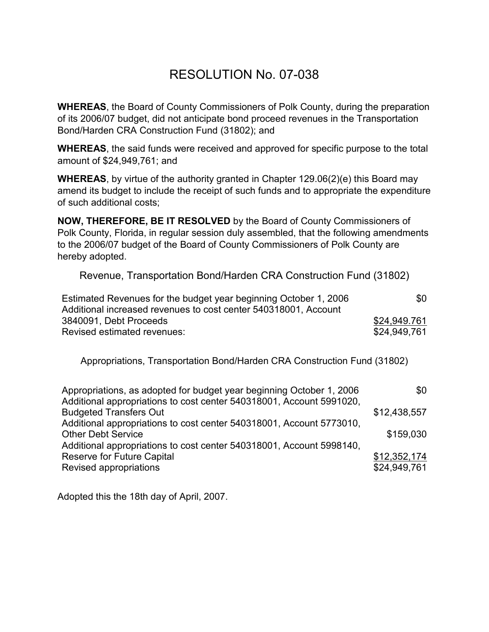## RESOLUTION No. 07-038

**WHEREAS**, the Board of County Commissioners of Polk County, during the preparation of its 2006/07 budget, did not anticipate bond proceed revenues in the Transportation Bond/Harden CRA Construction Fund (31802); and

**WHEREAS**, the said funds were received and approved for specific purpose to the total amount of \$24,949,761; and

**WHEREAS**, by virtue of the authority granted in Chapter 129.06(2)(e) this Board may amend its budget to include the receipt of such funds and to appropriate the expenditure of such additional costs;

**NOW, THEREFORE, BE IT RESOLVED** by the Board of County Commissioners of Polk County, Florida, in regular session duly assembled, that the following amendments to the 2006/07 budget of the Board of County Commissioners of Polk County are hereby adopted.

Revenue, Transportation Bond/Harden CRA Construction Fund (31802)

| Estimated Revenues for the budget year beginning October 1, 2006 | \$0          |
|------------------------------------------------------------------|--------------|
| Additional increased revenues to cost center 540318001, Account  |              |
| 3840091, Debt Proceeds                                           | \$24,949.761 |
| Revised estimated revenues:                                      | \$24,949,761 |

Appropriations, Transportation Bond/Harden CRA Construction Fund (31802)

| Appropriations, as adopted for budget year beginning October 1, 2006<br>Additional appropriations to cost center 540318001, Account 5991020, | \$0          |
|----------------------------------------------------------------------------------------------------------------------------------------------|--------------|
|                                                                                                                                              |              |
| <b>Budgeted Transfers Out</b>                                                                                                                | \$12,438,557 |
| Additional appropriations to cost center 540318001, Account 5773010,                                                                         |              |
| <b>Other Debt Service</b>                                                                                                                    | \$159,030    |
| Additional appropriations to cost center 540318001, Account 5998140,                                                                         |              |
| <b>Reserve for Future Capital</b>                                                                                                            | \$12,352,174 |
| Revised appropriations                                                                                                                       | \$24,949,761 |

Adopted this the 18th day of April, 2007.